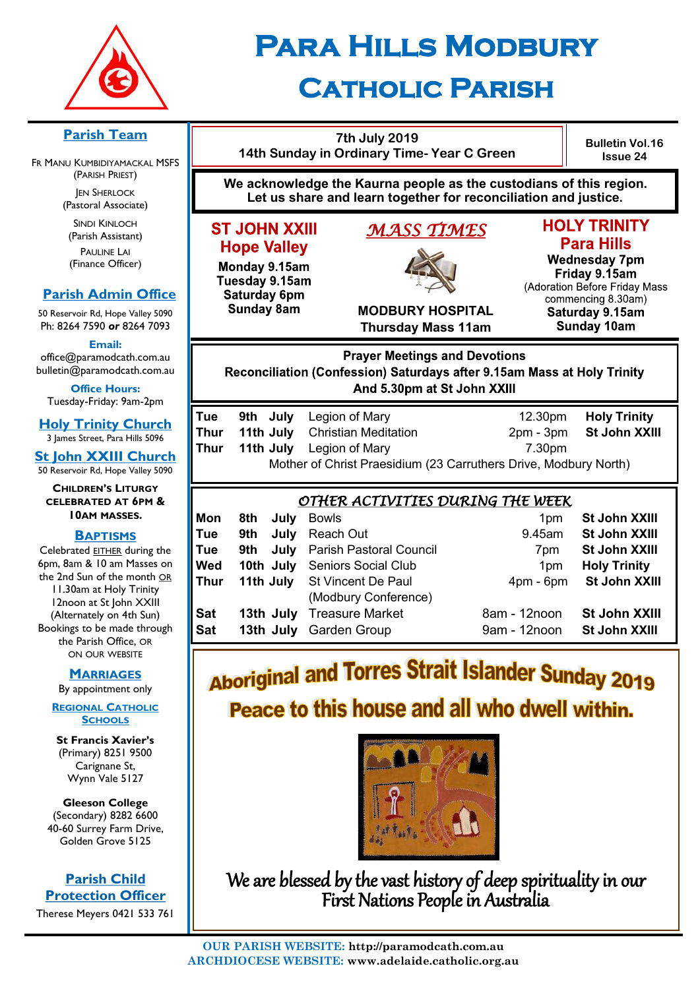

# **Para Hills Modbury**

# **Catholic Parish**

| <u>ish Team</u><br><b>MBIDIYAMACKAL MSFS</b>                                                                                                                                 |                                                                                                                                                | 14th Sunday in Ordinary Time- Year C Green                                                                                            | <b>Bulletin Vol.16</b><br><b>Issue 24</b>                                |                                                                                                                                                                                                 |                                                                            |                                                                                                                                                                                   |  |  |  |
|------------------------------------------------------------------------------------------------------------------------------------------------------------------------------|------------------------------------------------------------------------------------------------------------------------------------------------|---------------------------------------------------------------------------------------------------------------------------------------|--------------------------------------------------------------------------|-------------------------------------------------------------------------------------------------------------------------------------------------------------------------------------------------|----------------------------------------------------------------------------|-----------------------------------------------------------------------------------------------------------------------------------------------------------------------------------|--|--|--|
| RISH PRIEST)<br><b>SHERLOCK</b><br>oral Associate)                                                                                                                           |                                                                                                                                                | We acknowledge the Kaurna people as the custodians of this region.<br>Let us share and learn together for reconciliation and justice. |                                                                          |                                                                                                                                                                                                 |                                                                            |                                                                                                                                                                                   |  |  |  |
| DI KINLOCH<br>ish Assistant)<br><b>AULINE LAI</b><br>ance Officer)<br><b>Admin Office</b><br>Rd, Hope Valley 5090<br>590 or 8264 7093                                        | <b>ST JOHN XXIII</b><br><b>Hope Valley</b><br>Monday 9.15am<br>Tuesday 9.15am<br><b>Saturday 6pm</b><br><b>Sunday 8am</b>                      |                                                                                                                                       |                                                                          | <u>MASS TIMES</u><br><b>MODBURY HOSPITAL</b><br><b>Thursday Mass 11am</b>                                                                                                                       |                                                                            | <b>HOLY TRINITY</b><br><b>Para Hills</b><br><b>Wednesday 7pm</b><br>Friday 9.15am<br>(Adoration Before Friday Mass<br>commencing 8.30am)<br>Saturday 9.15am<br><b>Sunday 10am</b> |  |  |  |
| Email:<br>ramodcath.com.au<br>aramodcath.com.au<br>ice Hours:<br>Friday: 9am-2pm                                                                                             | <b>Prayer Meetings and Devotions</b><br>Reconciliation (Confession) Saturdays after 9.15am Mass at Holy Trinity<br>And 5.30pm at St John XXIII |                                                                                                                                       |                                                                          |                                                                                                                                                                                                 |                                                                            |                                                                                                                                                                                   |  |  |  |
| <b>rinity Church</b><br>reet, Para Hills 5096<br><b>XXIII Church</b><br>Rd, Hope Valley 5090                                                                                 | Tue<br><b>Thur</b><br><b>Thur</b>                                                                                                              | 9th July<br>11th July<br>11th July                                                                                                    |                                                                          | Legion of Mary<br><b>Christian Meditation</b><br>Legion of Mary<br>Mother of Christ Praesidium (23 Carruthers Drive, Modbury North)                                                             | 12.30pm<br>$2pm - 3pm$<br>7.30pm                                           | <b>Holy Trinity</b><br>St John XXIII                                                                                                                                              |  |  |  |
| REN'S LITURGY<br><b>ATED AT 6PM &amp;</b>                                                                                                                                    | <u>OTHER ACTIVITIES DURING THE WEEK</u>                                                                                                        |                                                                                                                                       |                                                                          |                                                                                                                                                                                                 |                                                                            |                                                                                                                                                                                   |  |  |  |
| M MASSES.<br><b>APTISMS</b><br>I EITHER during the<br>& 10 am Masses on<br>n of the month OR<br>at Holy Trinity<br>at St John XXIII<br>tely on 4th Sun)<br>o be made through | Mon<br>Tue<br>Tue<br>Wed<br><b>Thur</b><br><b>Sat</b><br><b>Sat</b>                                                                            | 8th<br>9th<br>9th                                                                                                                     | July<br>July<br>July<br>10th July<br>11th July<br>13th July<br>13th July | <b>Bowls</b><br>Reach Out<br><b>Parish Pastoral Council</b><br><b>Seniors Social Club</b><br><b>St Vincent De Paul</b><br>(Modbury Conference)<br><b>Treasure Market</b><br><b>Garden Group</b> | 1pm<br>9.45am<br>7pm<br>1pm<br>$4pm - 6pm$<br>8am - 12noon<br>9am - 12noon | St John XXIII<br>St John XXIII<br>St John XXIII<br><b>Holy Trinity</b><br>St John XXIII<br>St John XXIII<br>St John XXIII                                                         |  |  |  |
| rish Office, OR<br><b>OUR WEBSITE</b>                                                                                                                                        | <b>And TAVERO Creat Inlands</b>                                                                                                                |                                                                                                                                       |                                                                          |                                                                                                                                                                                                 |                                                                            |                                                                                                                                                                                   |  |  |  |

# **Aboriginal and Torres Strait Islander Sunday 2019** Peace to this house and all who dwell within.



We are blessed by the vast history of deep spirituality in our First Nations People in Australia

#### **Parish Team**

FR MANU KU  $(PA)$ JEN

(Pasto

SIN  $(Par)$  $P<sub>l</sub>$  $(Fina)$ 

#### **Parish**

50 Reservoir Ph: 8264 7

 $office@pa$ bulletin@pa

**Office Hours:**  Tuesday-

**Holy Tr** 3 James St

**St John** 50 Reservoir

 $CHILDF$  $CELEBR$ **10AM MASSES.**

#### **B**

Celebrated 6pm,  $8am$ the 2nd Su 11.30am 12noon (Alterna Bookings to the Pa  $OM$ 

#### **MARRIAGES**

By appointment only

#### **REGIONAL CATHOLIC SCHOOLS**

**St Francis Xavier's**  (Primary) 8251 9500 Carignane St, Wynn Vale 5127

**Gleeson College**  (Secondary) 8282 6600 40-60 Surrey Farm Drive, Golden Grove 5125

#### **Parish Child Protection Officer**

Therese Meyers 0421 533 761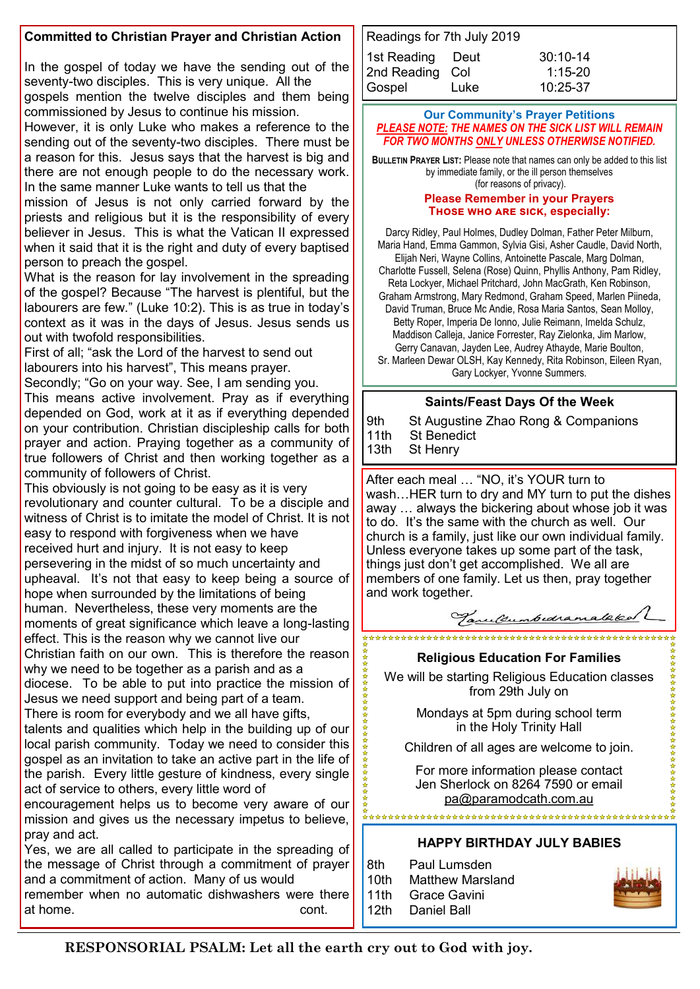#### **Committed to Christian Prayer and Christian Action**

In the gospel of today we have the sending out of the seventy-two disciples. This is very unique. All the gospels mention the twelve disciples and them being commissioned by Jesus to continue his mission.

However, it is only Luke who makes a reference to the sending out of the seventy-two disciples. There must be a reason for this. Jesus says that the harvest is big and there are not enough people to do the necessary work. In the same manner Luke wants to tell us that the

mission of Jesus is not only carried forward by the priests and religious but it is the responsibility of every believer in Jesus. This is what the Vatican II expressed when it said that it is the right and duty of every baptised person to preach the gospel.

What is the reason for lay involvement in the spreading of the gospel? Because "The harvest is plentiful, but the labourers are few." (Luke 10:2). This is as true in today's context as it was in the days of Jesus. Jesus sends us out with twofold responsibilities.

First of all; "ask the Lord of the harvest to send out labourers into his harvest", This means prayer.

Secondly; "Go on your way. See, I am sending you.

This means active involvement. Pray as if everything depended on God, work at it as if everything depended on your contribution. Christian discipleship calls for both prayer and action. Praying together as a community of true followers of Christ and then working together as a community of followers of Christ.

This obviously is not going to be easy as it is very revolutionary and counter cultural. To be a disciple and witness of Christ is to imitate the model of Christ. It is not easy to respond with forgiveness when we have received hurt and injury. It is not easy to keep persevering in the midst of so much uncertainty and upheaval. It's not that easy to keep being a source of hope when surrounded by the limitations of being human. Nevertheless, these very moments are the moments of great significance which leave a long-lasting effect. This is the reason why we cannot live our Christian faith on our own. This is therefore the reason why we need to be together as a parish and as a

diocese. To be able to put into practice the mission of Jesus we need support and being part of a team.

There is room for everybody and we all have gifts,

talents and qualities which help in the building up of our local parish community. Today we need to consider this gospel as an invitation to take an active part in the life of the parish. Every little gesture of kindness, every single act of service to others, every little word of

encouragement helps us to become very aware of our mission and gives us the necessary impetus to believe, pray and act.

Yes, we are all called to participate in the spreading of the message of Christ through a commitment of prayer and a commitment of action. Many of us would

remember when no automatic dishwashers were there at home. The continuum of the continuum of the continuum of the continuum of the continuum of the continuum of the continuum of the continuum of the continuum of the continuum of the continuum of the continuum of the conti

| Readings for 7th July 2019 |      |            |  |  |  |  |  |  |
|----------------------------|------|------------|--|--|--|--|--|--|
| 1st Reading Deut           |      | $30:10-14$ |  |  |  |  |  |  |
| 2nd Reading Col            |      | $1:15-20$  |  |  |  |  |  |  |
| Gospel                     | Luke | $10:25-37$ |  |  |  |  |  |  |

#### **Our Community's Prayer Petitions**  *PLEASE NOTE: THE NAMES ON THE SICK LIST WILL REMAIN FOR TWO MONTHS ONLY UNLESS OTHERWISE NOTIFIED.*

**BULLETIN PRAYER LIST:** Please note that names can only be added to this list by immediate family, or the ill person themselves (for reasons of privacy).

#### **Please Remember in your Prayers Those who are sick, especially:**

Darcy Ridley, Paul Holmes, Dudley Dolman, Father Peter Milburn, Maria Hand, Emma Gammon, Sylvia Gisi, Asher Caudle, David North, Elijah Neri, Wayne Collins, Antoinette Pascale, Marg Dolman,

Charlotte Fussell, Selena (Rose) Quinn, Phyllis Anthony, Pam Ridley, Reta Lockyer, Michael Pritchard, John MacGrath, Ken Robinson,

Graham Armstrong, Mary Redmond, Graham Speed, Marlen Piineda, David Truman, Bruce Mc Andie, Rosa Maria Santos, Sean Molloy, Betty Roper, Imperia De Ionno, Julie Reimann, Imelda Schulz, Maddison Calleja, Janice Forrester, Ray Zielonka, Jim Marlow, Gerry Canavan, Jayden Lee, Audrey Athayde, Marie Boulton,

Sr. Marleen Dewar OLSH, Kay Kennedy, Rita Robinson, Eileen Ryan, Gary Lockyer, Yvonne Summers.

#### **Saints/Feast Days Of the Week**

9th St Augustine Zhao Rong & Companions<br>11th St Benedict **St Benedict** 13th St Henry

After each meal … "NO, it's YOUR turn to wash…HER turn to dry and MY turn to put the dishes away … always the bickering about whose job it was to do. It's the same with the church as well. Our church is a family, just like our own individual family. Unless everyone takes up some part of the task, things just don't get accomplished. We all are members of one family. Let us then, pray together and work together.



#### **Religious Education For Families**

\*\*\*\*\*\*\*\*\*\*\*\*\*\*\*\*\*\*\*\*\*\*\*\*\*\*\*\*\*\*\*\*\*\*

We will be starting Religious Education classes from 29th July on

> Mondays at 5pm during school term in the Holy Trinity Hall

Children of all ages are welcome to join.

For more information please contact Jen Sherlock on 8264 7590 or email [pa@paramodcath.com.au](mailto:pa@paramodcath.com.au)

#### **HAPPY BIRTHDAY JULY BABIES**

8th Paul Lumsden 10th Matthew Marsland 11th Grace Gavini 12th Daniel Ball



女女女女女女女女女女女女女女女女女女女女女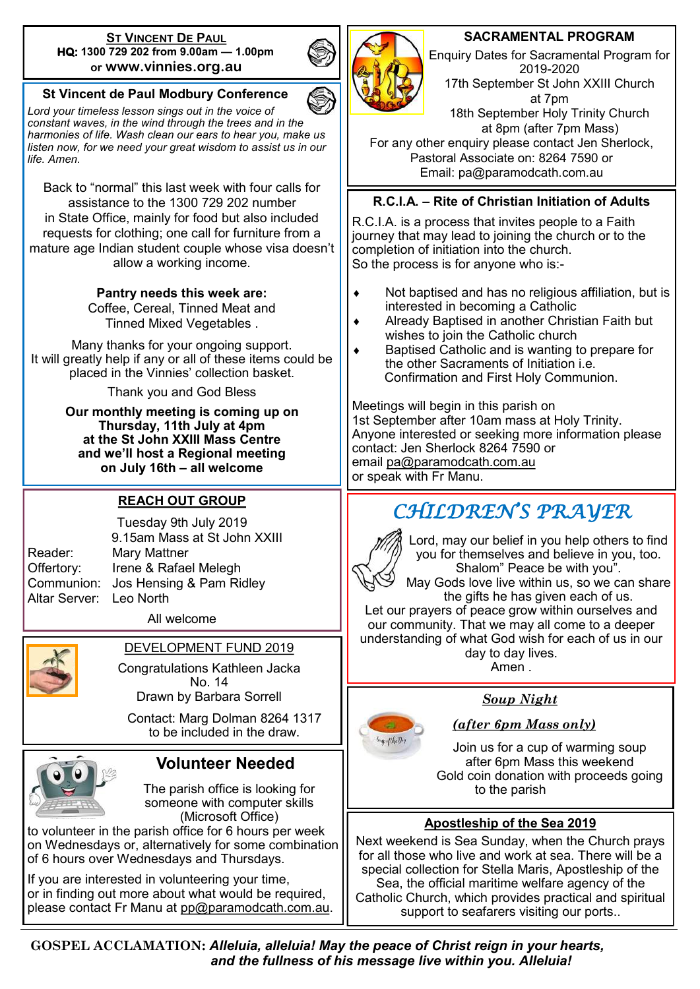#### **ST VINCENT DE PAUL HQ: 1300 729 202 from 9.00am — 1.00pm or www.vinnies.org.au**

#### **St Vincent de Paul Modbury Conference**

*Lord your timeless lesson sings out in the voice of constant waves, in the wind through the trees and in the harmonies of life. Wash clean our ears to hear you, make us listen now, for we need your great wisdom to assist us in our life. Amen.*

Back to "normal" this last week with four calls for assistance to the 1300 729 202 number in State Office, mainly for food but also included requests for clothing; one call for furniture from a mature age Indian student couple whose visa doesn't allow a working income.

#### **Pantry needs this week are:**

Coffee, Cereal, Tinned Meat and Tinned Mixed Vegetables .

Many thanks for your ongoing support. It will greatly help if any or all of these items could be placed in the Vinnies' collection basket.

Thank you and God Bless

**Our monthly meeting is coming up on Thursday, 11th July at 4pm at the St John XXIII Mass Centre and we'll host a Regional meeting on July 16th – all welcome**

#### **REACH OUT GROUP**

Altar Server: Leo North

Tuesday 9th July 2019 9.15am Mass at St John XXIII Reader: Mary Mattner Offertory: Irene & Rafael Melegh Communion: Jos Hensing & Pam Ridley

All welcome



#### DEVELOPMENT FUND 2019

Congratulations Kathleen Jacka No. 14 Drawn by Barbara Sorrell

Contact: Marg Dolman 8264 1317 to be included in the draw.



#### **Volunteer Needed**

The parish office is looking for someone with computer skills (Microsoft Office)

to volunteer in the parish office for 6 hours per week on Wednesdays or, alternatively for some combination of 6 hours over Wednesdays and Thursdays.

If you are interested in volunteering your time, or in finding out more about what would be required, please contact Fr Manu at [pp@paramodcath.com.au.](mailto:pp@paramodcath.com.au)



#### **SACRAMENTAL PROGRAM**

Enquiry Dates for Sacramental Program for 2019-2020 17th September St John XXIII Church at 7pm 18th September Holy Trinity Church at 8pm (after 7pm Mass)

For any other enquiry please contact Jen Sherlock, Pastoral Associate on: 8264 7590 or Email: pa@paramodcath.com.au

#### **R.C.I.A. – Rite of Christian Initiation of Adults**

R.C.I.A. is a process that invites people to a Faith journey that may lead to joining the church or to the completion of initiation into the church. So the process is for anyone who is:-

- Not baptised and has no religious affiliation, but is interested in becoming a Catholic
- Already Baptised in another Christian Faith but wishes to join the Catholic church
- Baptised Catholic and is wanting to prepare for the other Sacraments of Initiation i.e. Confirmation and First Holy Communion.

Meetings will begin in this parish on 1st September after 10am mass at Holy Trinity. Anyone interested or seeking more information please contact: Jen Sherlock 8264 7590 or email [pa@paramodcath.com.au](mailto:pa@paramodcath.com.au) or speak with Fr Manu.

## *CHILDREN'S PRAYER*



Sup of the Day

Lord, may our belief in you help others to find you for themselves and believe in you, too. Shalom" Peace be with you".

May Gods love live within us, so we can share the gifts he has given each of us.

Let our prayers of peace grow within ourselves and our community. That we may all come to a deeper understanding of what God wish for each of us in our day to day lives. Amen .

 *Soup Night* 

#### *(after 6pm Mass only)*

Join us for a cup of warming soup after 6pm Mass this weekend Gold coin donation with proceeds going to the parish

#### **Apostleship of the Sea 2019**

Next weekend is Sea Sunday, when the Church prays for all those who live and work at sea. There will be a special collection for Stella Maris, Apostleship of the Sea, the official maritime welfare agency of the Catholic Church, which provides practical and spiritual support to seafarers visiting our ports..

**GOSPEL ACCLAMATION:** *Alleluia, alleluia! May the peace of Christ reign in your hearts, and the fullness of his message live within you. Alleluia!*